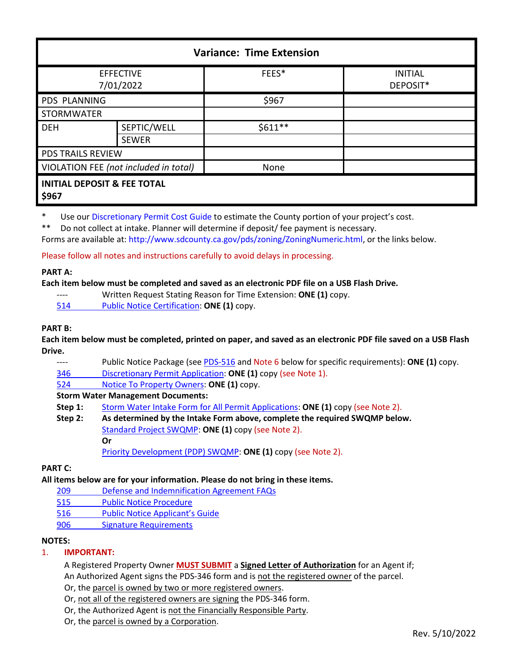| <b>Variance: Time Extension</b>                 |              |          |                            |  |
|-------------------------------------------------|--------------|----------|----------------------------|--|
| <b>EFFECTIVE</b><br>7/01/2022                   |              | FEES*    | <b>INITIAL</b><br>DEPOSIT* |  |
| PDS PLANNING                                    |              | \$967    |                            |  |
| <b>STORMWATER</b>                               |              |          |                            |  |
| <b>DEH</b>                                      | SEPTIC/WELL  | $$611**$ |                            |  |
|                                                 | <b>SEWER</b> |          |                            |  |
| <b>PDS TRAILS REVIEW</b>                        |              |          |                            |  |
| VIOLATION FEE (not included in total)           |              | None     |                            |  |
| <b>INITIAL DEPOSIT &amp; FEE TOTAL</b><br>\$967 |              |          |                            |  |

\* Use our [Discretionary Permit Cost Guide](http://www.sandiegocounty.gov/content/dam/sdc/pds/docs/Discretionary_Permit_Cost_Guide.xlsx) to estimate the County portion of your project's cost.

\*\* Do not collect at intake. Planner will determine if deposit/ fee payment is necessary.

Forms are available at: [http://www.sdcounty.ca.gov/pds/zoning/ZoningNumeric.html,](http://www.sdcounty.ca.gov/pds/zoning/ZoningNumeric.html) or the links below.

Please follow all notes and instructions carefully to avoid delays in processing.

### **PART A:**

### **Each item below must be completed and saved as an electronic PDF file on a USB Flash Drive.**

- ---- Written Request Stating Reason for Time Extension: **ONE (1)** copy.
- 514 [Public Notice Certification:](http://www.sdcounty.ca.gov/pds/zoning/formfields/PDS-PLN-514.pdf) **ONE (1)** copy.

### **PART B:**

**Each item below must be completed, printed on paper, and saved as an electronic PDF file saved on a USB Flash Drive.**

Public Notice Package (se[e PDS-516](https://www.sandiegocounty.gov/pds/zoning/formfields/PDS-PLN-516.pdf) and Note 6 below for specific requirements): ONE (1) copy.

346 [Discretionary Permit Application:](http://www.sdcounty.ca.gov/pds/zoning/formfields/PDS-PLN-346.pdf) **ONE (1)** copy (see Note 1).

524 [Notice To Property Owners:](http://www.sdcounty.ca.gov/pds/zoning/formfields/PDS-PLN-524.pdf) **ONE (1)** copy.

### **Storm Water Management Documents:**

- **Step 1:** [Storm Water Intake Form for All Permit Applications:](http://www.sandiegocounty.gov/content/dam/sdc/pds/zoning/formfields/SWQMP-Intake-Form.pdf) **ONE (1)** copy (see Note 2).
- **Step 2: As determined by the Intake Form above, complete the required SWQMP below.** [Standard Project SWQMP:](http://www.sandiegocounty.gov/content/dam/sdc/pds/zoning/formfields/SWQMP-Standard.pdf) **ONE (1)** copy (see Note 2). **Or**

[Priority Development \(PDP\) SWQMP:](https://www.sandiegocounty.gov/content/sdc/dpw/watersheds/DevelopmentandConstruction/BMP_Design_Manual.html) **ONE (1)** copy (see Note 2).

### **PART C:**

# **All items below are for your information. Please do not bring in these items.**

- 209 [Defense and Indemnification Agreement FAQs](http://www.sdcounty.ca.gov/pds/zoning/formfields/PDS-PLN-209.pdf)
- [515 Public Notice Procedure](http://www.sdcounty.ca.gov/pds/zoning/formfields/PDS-PLN-515.pdf)
- [516 Public Notice Applicant's Guide](http://www.sdcounty.ca.gov/pds/zoning/formfields/PDS-PLN-516.pdf)
- [906 Signature Requirements](http://www.sdcounty.ca.gov/pds/zoning/formfields/PDS-PLN-906.pdf)

## **NOTES:**

# 1. **IMPORTANT:**

A Registered Property Owner **MUST SUBMIT** a **Signed Letter of Authorization** for an Agent if; An Authorized Agent signs the PDS-346 form and is not the registered owner of the parcel.

Or, the parcel is owned by two or more registered owners.

Or, not all of the registered owners are signing the PDS-346 form.

- Or, the Authorized Agent is not the Financially Responsible Party.
- Or, the parcel is owned by a Corporation.